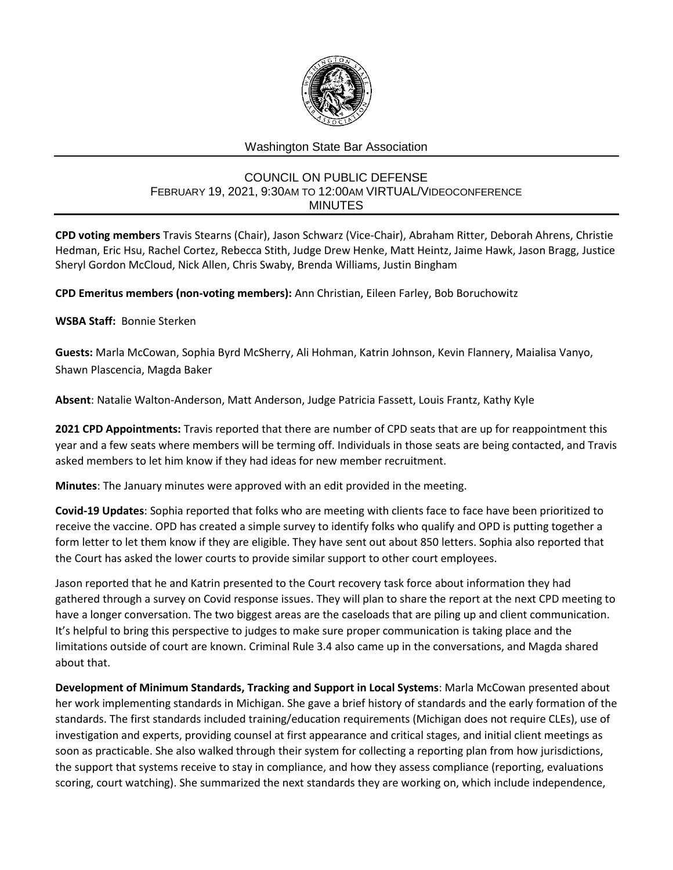

# Washington State Bar Association

#### COUNCIL ON PUBLIC DEFENSE FEBRUARY 19, 2021, 9:30AM TO 12:00AM VIRTUAL/VIDEOCONFERENCE MINUTES

**CPD voting members** Travis Stearns (Chair), Jason Schwarz (Vice-Chair), Abraham Ritter, Deborah Ahrens, Christie Hedman, Eric Hsu, Rachel Cortez, Rebecca Stith, Judge Drew Henke, Matt Heintz, Jaime Hawk, Jason Bragg, Justice Sheryl Gordon McCloud, Nick Allen, Chris Swaby, Brenda Williams, Justin Bingham

**CPD Emeritus members (non-voting members):** Ann Christian, Eileen Farley, Bob Boruchowitz

**WSBA Staff:** Bonnie Sterken

**Guests:** Marla McCowan, Sophia Byrd McSherry, Ali Hohman, Katrin Johnson, Kevin Flannery, Maialisa Vanyo, Shawn Plascencia, Magda Baker

**Absent**: Natalie Walton-Anderson, Matt Anderson, Judge Patricia Fassett, Louis Frantz, Kathy Kyle

**2021 CPD Appointments:** Travis reported that there are number of CPD seats that are up for reappointment this year and a few seats where members will be terming off. Individuals in those seats are being contacted, and Travis asked members to let him know if they had ideas for new member recruitment.

**Minutes**: The January minutes were approved with an edit provided in the meeting.

**Covid-19 Updates**: Sophia reported that folks who are meeting with clients face to face have been prioritized to receive the vaccine. OPD has created a simple survey to identify folks who qualify and OPD is putting together a form letter to let them know if they are eligible. They have sent out about 850 letters. Sophia also reported that the Court has asked the lower courts to provide similar support to other court employees.

Jason reported that he and Katrin presented to the Court recovery task force about information they had gathered through a survey on Covid response issues. They will plan to share the report at the next CPD meeting to have a longer conversation. The two biggest areas are the caseloads that are piling up and client communication. It's helpful to bring this perspective to judges to make sure proper communication is taking place and the limitations outside of court are known. Criminal Rule 3.4 also came up in the conversations, and Magda shared about that.

**Development of Minimum Standards, Tracking and Support in Local Systems**: Marla McCowan presented about her work implementing standards in Michigan. She gave a brief history of standards and the early formation of the standards. The first standards included training/education requirements (Michigan does not require CLEs), use of investigation and experts, providing counsel at first appearance and critical stages, and initial client meetings as soon as practicable. She also walked through their system for collecting a reporting plan from how jurisdictions, the support that systems receive to stay in compliance, and how they assess compliance (reporting, evaluations scoring, court watching). She summarized the next standards they are working on, which include independence,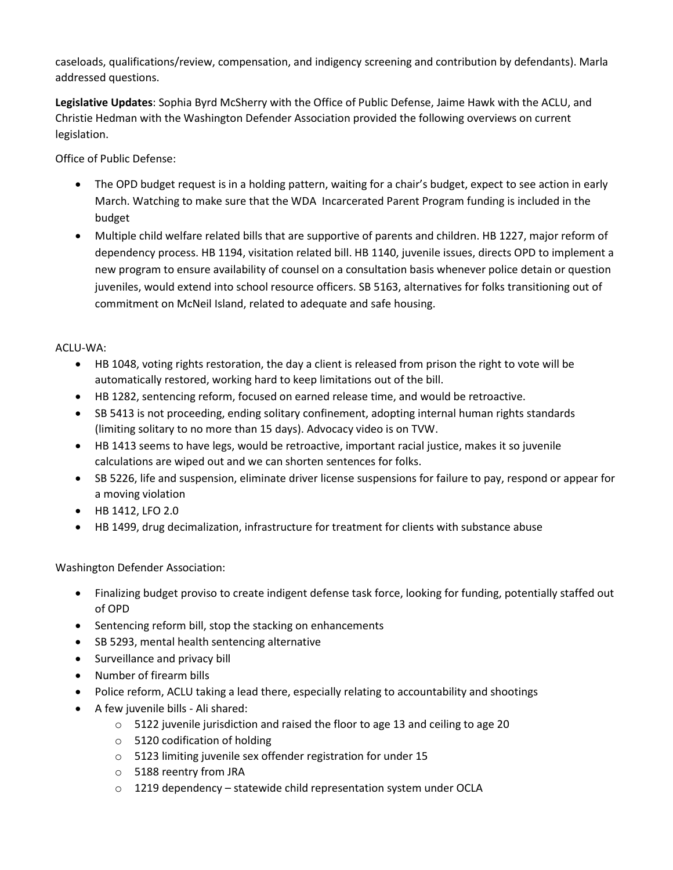caseloads, qualifications/review, compensation, and indigency screening and contribution by defendants). Marla addressed questions.

**Legislative Updates**: Sophia Byrd McSherry with the Office of Public Defense, Jaime Hawk with the ACLU, and Christie Hedman with the Washington Defender Association provided the following overviews on current legislation.

Office of Public Defense:

- The OPD budget request is in a holding pattern, waiting for a chair's budget, expect to see action in early March. Watching to make sure that the WDA Incarcerated Parent Program funding is included in the budget
- Multiple child welfare related bills that are supportive of parents and children. HB 1227, major reform of dependency process. HB 1194, visitation related bill. HB 1140, juvenile issues, directs OPD to implement a new program to ensure availability of counsel on a consultation basis whenever police detain or question juveniles, would extend into school resource officers. SB 5163, alternatives for folks transitioning out of commitment on McNeil Island, related to adequate and safe housing.

## ACLU-WA:

- HB 1048, voting rights restoration, the day a client is released from prison the right to vote will be automatically restored, working hard to keep limitations out of the bill.
- HB 1282, sentencing reform, focused on earned release time, and would be retroactive.
- SB 5413 is not proceeding, ending solitary confinement, adopting internal human rights standards (limiting solitary to no more than 15 days). Advocacy video is on TVW.
- HB 1413 seems to have legs, would be retroactive, important racial justice, makes it so juvenile calculations are wiped out and we can shorten sentences for folks.
- SB 5226, life and suspension, eliminate driver license suspensions for failure to pay, respond or appear for a moving violation
- HB 1412, LFO 2.0
- HB 1499, drug decimalization, infrastructure for treatment for clients with substance abuse

## Washington Defender Association:

- Finalizing budget proviso to create indigent defense task force, looking for funding, potentially staffed out of OPD
- Sentencing reform bill, stop the stacking on enhancements
- SB 5293, mental health sentencing alternative
- Surveillance and privacy bill
- Number of firearm bills
- Police reform, ACLU taking a lead there, especially relating to accountability and shootings
- A few juvenile bills Ali shared:
	- o 5122 juvenile jurisdiction and raised the floor to age 13 and ceiling to age 20
	- o 5120 codification of holding
	- o 5123 limiting juvenile sex offender registration for under 15
	- o 5188 reentry from JRA
	- o 1219 dependency statewide child representation system under OCLA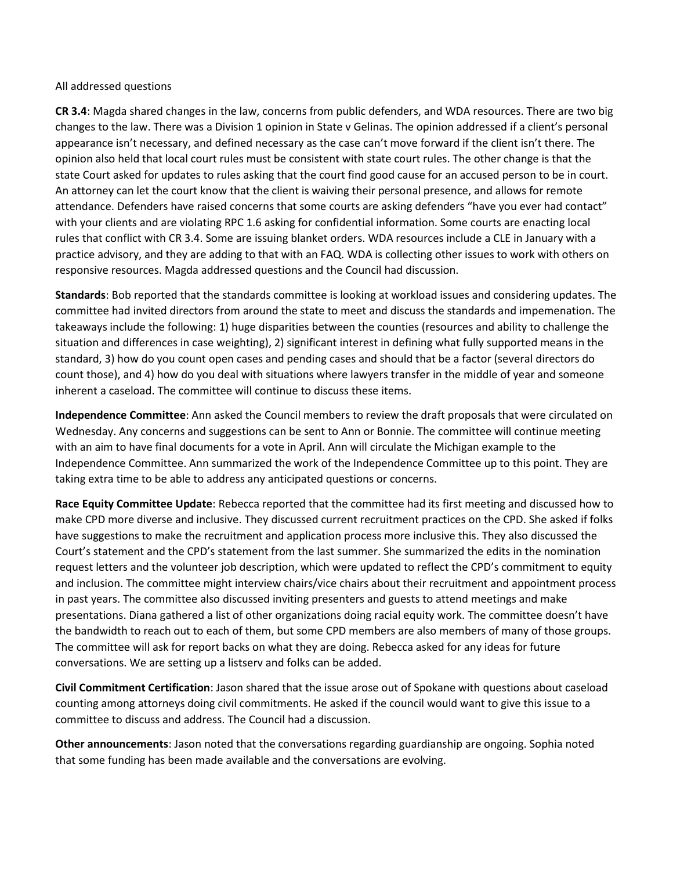#### All addressed questions

**CR 3.4**: Magda shared changes in the law, concerns from public defenders, and WDA resources. There are two big changes to the law. There was a Division 1 opinion in State v Gelinas. The opinion addressed if a client's personal appearance isn't necessary, and defined necessary as the case can't move forward if the client isn't there. The opinion also held that local court rules must be consistent with state court rules. The other change is that the state Court asked for updates to rules asking that the court find good cause for an accused person to be in court. An attorney can let the court know that the client is waiving their personal presence, and allows for remote attendance. Defenders have raised concerns that some courts are asking defenders "have you ever had contact" with your clients and are violating RPC 1.6 asking for confidential information. Some courts are enacting local rules that conflict with CR 3.4. Some are issuing blanket orders. WDA resources include a CLE in January with a practice advisory, and they are adding to that with an FAQ. WDA is collecting other issues to work with others on responsive resources. Magda addressed questions and the Council had discussion.

**Standards**: Bob reported that the standards committee is looking at workload issues and considering updates. The committee had invited directors from around the state to meet and discuss the standards and impemenation. The takeaways include the following: 1) huge disparities between the counties (resources and ability to challenge the situation and differences in case weighting), 2) significant interest in defining what fully supported means in the standard, 3) how do you count open cases and pending cases and should that be a factor (several directors do count those), and 4) how do you deal with situations where lawyers transfer in the middle of year and someone inherent a caseload. The committee will continue to discuss these items.

**Independence Committee**: Ann asked the Council members to review the draft proposals that were circulated on Wednesday. Any concerns and suggestions can be sent to Ann or Bonnie. The committee will continue meeting with an aim to have final documents for a vote in April. Ann will circulate the Michigan example to the Independence Committee. Ann summarized the work of the Independence Committee up to this point. They are taking extra time to be able to address any anticipated questions or concerns.

**Race Equity Committee Update**: Rebecca reported that the committee had its first meeting and discussed how to make CPD more diverse and inclusive. They discussed current recruitment practices on the CPD. She asked if folks have suggestions to make the recruitment and application process more inclusive this. They also discussed the Court's statement and the CPD's statement from the last summer. She summarized the edits in the nomination request letters and the volunteer job description, which were updated to reflect the CPD's commitment to equity and inclusion. The committee might interview chairs/vice chairs about their recruitment and appointment process in past years. The committee also discussed inviting presenters and guests to attend meetings and make presentations. Diana gathered a list of other organizations doing racial equity work. The committee doesn't have the bandwidth to reach out to each of them, but some CPD members are also members of many of those groups. The committee will ask for report backs on what they are doing. Rebecca asked for any ideas for future conversations. We are setting up a listserv and folks can be added.

**Civil Commitment Certification**: Jason shared that the issue arose out of Spokane with questions about caseload counting among attorneys doing civil commitments. He asked if the council would want to give this issue to a committee to discuss and address. The Council had a discussion.

**Other announcements**: Jason noted that the conversations regarding guardianship are ongoing. Sophia noted that some funding has been made available and the conversations are evolving.